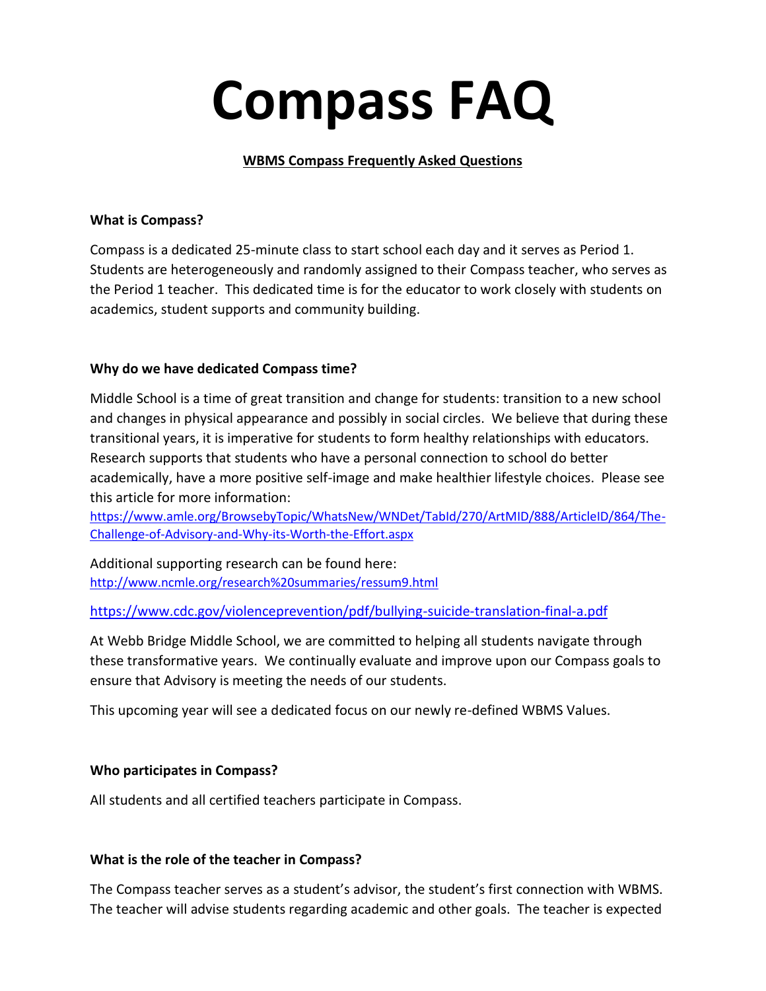# **Compass FAQ**

## **WBMS Compass Frequently Asked Questions**

## **What is Compass?**

Compass is a dedicated 25-minute class to start school each day and it serves as Period 1. Students are heterogeneously and randomly assigned to their Compass teacher, who serves as the Period 1 teacher. This dedicated time is for the educator to work closely with students on academics, student supports and community building.

## **Why do we have dedicated Compass time?**

Middle School is a time of great transition and change for students: transition to a new school and changes in physical appearance and possibly in social circles. We believe that during these transitional years, it is imperative for students to form healthy relationships with educators. Research supports that students who have a personal connection to school do better academically, have a more positive self-image and make healthier lifestyle choices. Please see this article for more information:

[https://www.amle.org/BrowsebyTopic/WhatsNew/WNDet/TabId/270/ArtMID/888/ArticleID/864/The-](https://www.amle.org/BrowsebyTopic/WhatsNew/WNDet/TabId/270/ArtMID/888/ArticleID/864/The-Challenge-of-Advisory-and-Why-its-Worth-the-Effort.aspx)[Challenge-of-Advisory-and-Why-its-Worth-the-Effort.aspx](https://www.amle.org/BrowsebyTopic/WhatsNew/WNDet/TabId/270/ArtMID/888/ArticleID/864/The-Challenge-of-Advisory-and-Why-its-Worth-the-Effort.aspx)

Additional supporting research can be found here: <http://www.ncmle.org/research%20summaries/ressum9.html>

<https://www.cdc.gov/violenceprevention/pdf/bullying-suicide-translation-final-a.pdf>

At Webb Bridge Middle School, we are committed to helping all students navigate through these transformative years. We continually evaluate and improve upon our Compass goals to ensure that Advisory is meeting the needs of our students.

This upcoming year will see a dedicated focus on our newly re-defined WBMS Values.

## **Who participates in Compass?**

All students and all certified teachers participate in Compass.

## **What is the role of the teacher in Compass?**

The Compass teacher serves as a student's advisor, the student's first connection with WBMS. The teacher will advise students regarding academic and other goals. The teacher is expected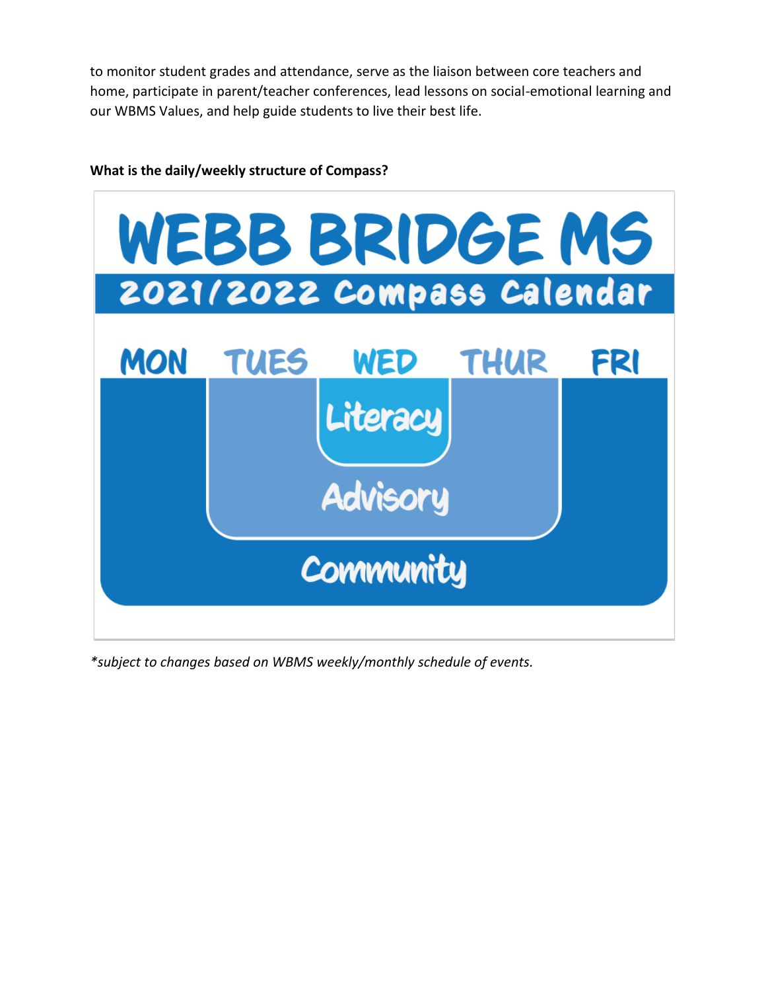to monitor student grades and attendance, serve as the liaison between core teachers and home, participate in parent/teacher conferences, lead lessons on social-emotional learning and our WBMS Values, and help guide students to live their best life.



## **What is the daily/weekly structure of Compass?**

*\*subject to changes based on WBMS weekly/monthly schedule of events.*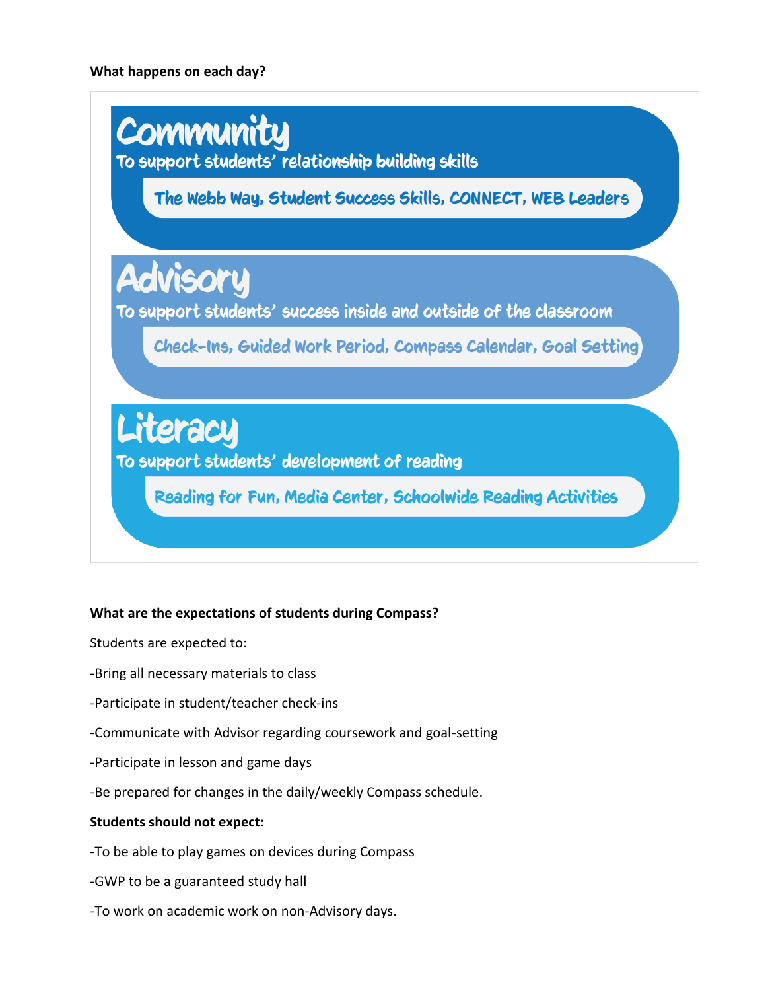

## **What are the expectations of students during Compass?**

Students are expected to:

- -Bring all necessary materials to class
- -Participate in student/teacher check-ins
- -Communicate with Advisor regarding coursework and goal-setting
- -Participate in lesson and game days
- -Be prepared for changes in the daily/weekly Compass schedule.

## **Students should not expect:**

- -To be able to play games on devices during Compass
- -GWP to be a guaranteed study hall
- -To work on academic work on non-Advisory days.